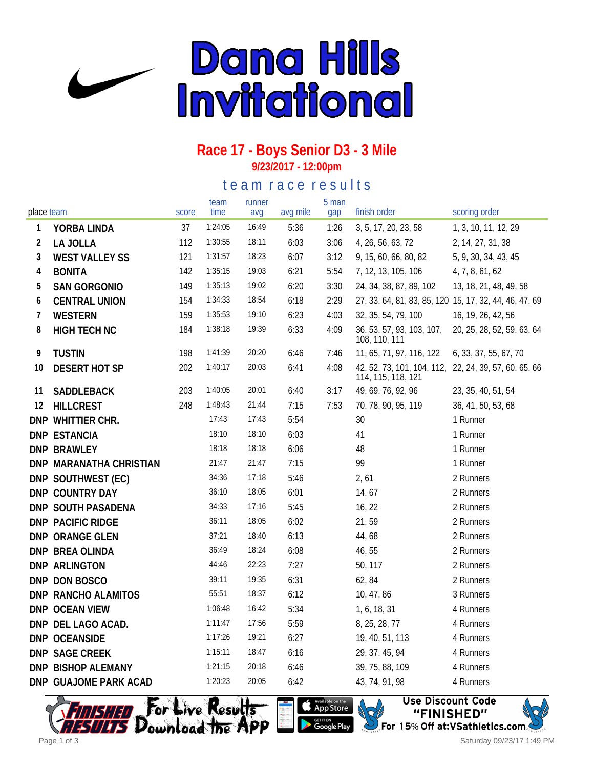

### **Race 17 - Boys Senior D3 - 3 Mile 9/23/2017 - 12:00pm**

### te a m r a c e r e sults

| place team     |                         | score | team<br>time | runner<br>avg | avg mile | 5 man<br>gap | finish order                                                                | scoring order              |
|----------------|-------------------------|-------|--------------|---------------|----------|--------------|-----------------------------------------------------------------------------|----------------------------|
| 1              | YORBA LINDA             | 37    | 1:24:05      | 16:49         | 5:36     | 1:26         | 3, 5, 17, 20, 23, 58                                                        | 1, 3, 10, 11, 12, 29       |
| $\overline{2}$ | LA JOLLA                | 112   | 1:30:55      | 18:11         | 6:03     | 3:06         | 4, 26, 56, 63, 72                                                           | 2, 14, 27, 31, 38          |
| 3              | <b>WEST VALLEY SS</b>   | 121   | 1:31:57      | 18:23         | 6:07     | 3:12         | 9, 15, 60, 66, 80, 82                                                       | 5, 9, 30, 34, 43, 45       |
| 4              | <b>BONITA</b>           | 142   | 1:35:15      | 19:03         | 6:21     | 5:54         | 7, 12, 13, 105, 106                                                         | 4, 7, 8, 61, 62            |
| 5              | <b>SAN GORGONIO</b>     | 149   | 1:35:13      | 19:02         | 6:20     | 3:30         | 24, 34, 38, 87, 89, 102                                                     | 13, 18, 21, 48, 49, 58     |
| 6              | <b>CENTRAL UNION</b>    | 154   | 1:34:33      | 18:54         | 6:18     | 2:29         | 27, 33, 64, 81, 83, 85, 120 15, 17, 32, 44, 46, 47, 69                      |                            |
| 7              | WESTERN                 | 159   | 1:35:53      | 19:10         | 6:23     | 4:03         | 32, 35, 54, 79, 100                                                         | 16, 19, 26, 42, 56         |
| 8              | <b>HIGH TECH NC</b>     | 184   | 1:38:18      | 19:39         | 6:33     | 4:09         | 36, 53, 57, 93, 103, 107,<br>108, 110, 111                                  | 20, 25, 28, 52, 59, 63, 64 |
| 9              | <b>TUSTIN</b>           | 198   | 1:41:39      | 20:20         | 6:46     | 7:46         | 11, 65, 71, 97, 116, 122                                                    | 6, 33, 37, 55, 67, 70      |
| 10             | <b>DESERT HOT SP</b>    | 202   | 1:40:17      | 20:03         | 6:41     | 4:08         | 42, 52, 73, 101, 104, 112, 22, 24, 39, 57, 60, 65, 66<br>114, 115, 118, 121 |                            |
| 11             | SADDLEBACK              | 203   | 1:40:05      | 20:01         | 6:40     | 3:17         | 49, 69, 76, 92, 96                                                          | 23, 35, 40, 51, 54         |
| 12             | <b>HILLCREST</b>        | 248   | 1:48:43      | 21:44         | 7:15     | 7:53         | 70, 78, 90, 95, 119                                                         | 36, 41, 50, 53, 68         |
|                | DNP WHITTIER CHR.       |       | 17:43        | 17:43         | 5:54     |              | 30                                                                          | 1 Runner                   |
|                | <b>DNP ESTANCIA</b>     |       | 18:10        | 18:10         | 6:03     |              | 41                                                                          | 1 Runner                   |
|                | <b>DNP BRAWLEY</b>      |       | 18:18        | 18:18         | 6:06     |              | 48                                                                          | 1 Runner                   |
|                | DNP MARANATHA CHRISTIAN |       | 21:47        | 21:47         | 7:15     |              | 99                                                                          | 1 Runner                   |
|                | DNP SOUTHWEST (EC)      |       | 34:36        | 17:18         | 5:46     |              | 2, 61                                                                       | 2 Runners                  |
|                | DNP COUNTRY DAY         |       | 36:10        | 18:05         | 6:01     |              | 14, 67                                                                      | 2 Runners                  |
|                | DNP SOUTH PASADENA      |       | 34:33        | 17:16         | 5:45     |              | 16, 22                                                                      | 2 Runners                  |
|                | DNP PACIFIC RIDGE       |       | 36:11        | 18:05         | 6:02     |              | 21,59                                                                       | 2 Runners                  |
|                | DNP ORANGE GLEN         |       | 37:21        | 18:40         | 6:13     |              | 44,68                                                                       | 2 Runners                  |
|                | DNP BREA OLINDA         |       | 36:49        | 18:24         | 6:08     |              | 46, 55                                                                      | 2 Runners                  |
|                | DNP ARLINGTON           |       | 44:46        | 22:23         | 7:27     |              | 50, 117                                                                     | 2 Runners                  |
|                | DNP DON BOSCO           |       | 39:11        | 19:35         | 6:31     |              | 62, 84                                                                      | 2 Runners                  |
|                | DNP RANCHO ALAMITOS     |       | 55:51        | 18:37         | 6:12     |              | 10, 47, 86                                                                  | 3 Runners                  |
|                | DNP OCEAN VIEW          |       | 1:06:48      | 16:42         | 5:34     |              | 1, 6, 18, 31                                                                | 4 Runners                  |
|                | DNP DEL LAGO ACAD.      |       | 1:11:47      | 17:56         | 5:59     |              | 8, 25, 28, 77                                                               | 4 Runners                  |
|                | DNP OCEANSIDE           |       | 1:17:26      | 19:21         | 6:27     |              | 19, 40, 51, 113                                                             | 4 Runners                  |
|                | DNP SAGE CREEK          |       | 1:15:11      | 18:47         | 6:16     |              | 29, 37, 45, 94                                                              | 4 Runners                  |
|                | DNP BISHOP ALEMANY      |       | 1:21:15      | 20:18         | 6:46     |              | 39, 75, 88, 109                                                             | 4 Runners                  |
|                | DNP GUAJOME PARK ACAD   |       | 1:20:23      | 20:05         | 6:42     |              | 43, 74, 91, 98                                                              | 4 Runners                  |





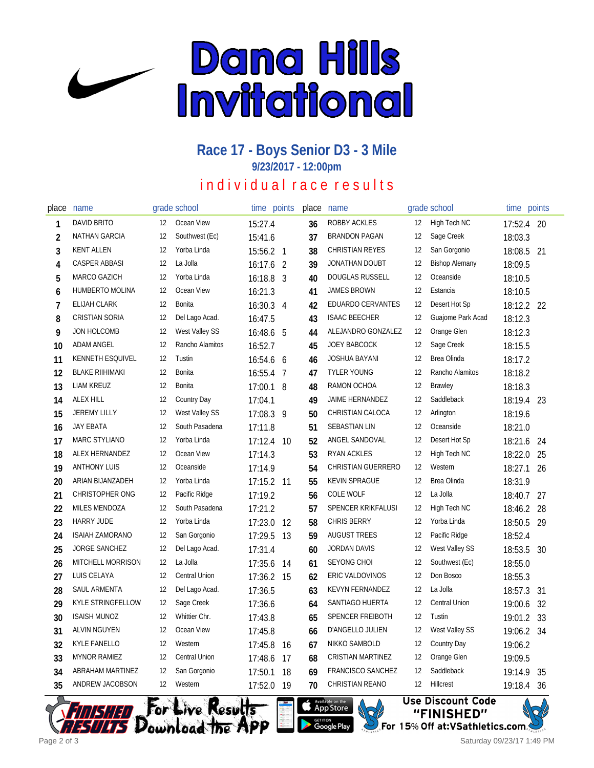

### **Race 17 - Boys Senior D3 - 3 Mile 9/23/2017 - 12:00pm**

# in dividual race results

| place          | name                     |    | grade school    | time      | points         | place | name                     |    | grade school          | time       | points |
|----------------|--------------------------|----|-----------------|-----------|----------------|-------|--------------------------|----|-----------------------|------------|--------|
| 1              | DAVID BRITO              | 12 | Ocean View      | 15:27.4   |                | 36    | ROBBY ACKLES             | 12 | High Tech NC          | 17:52.4    | 20     |
| $\overline{2}$ | <b>NATHAN GARCIA</b>     | 12 | Southwest (Ec)  | 15:41.6   |                | 37    | <b>BRANDON PAGAN</b>     | 12 | Sage Creek            | 18:03.3    |        |
| 3              | <b>KENT ALLEN</b>        | 12 | Yorba Linda     | 15:56.2 1 |                | 38    | <b>CHRISTIAN REYES</b>   | 12 | San Gorgonio          | 18:08.5    | 21     |
| 4              | <b>CASPER ABBASI</b>     | 12 | La Jolla        | 16:17.6   | 2              | 39    | JONATHAN DOUBT           | 12 | <b>Bishop Alemany</b> | 18:09.5    |        |
| 5              | MARCO GAZICH             | 12 | Yorba Linda     | 16:18.8   | 3              | 40    | <b>DOUGLAS RUSSELL</b>   | 12 | Oceanside             | 18:10.5    |        |
| 6              | HUMBERTO MOLINA          | 12 | Ocean View      | 16:21.3   |                | 41    | <b>JAMES BROWN</b>       | 12 | Estancia              | 18:10.5    |        |
| 7              | <b>ELIJAH CLARK</b>      | 12 | Bonita          | 16:30.3   | $\overline{4}$ | 42    | <b>EDUARDO CERVANTES</b> | 12 | Desert Hot Sp         | 18:12.2 22 |        |
| 8              | <b>CRISTIAN SORIA</b>    | 12 | Del Lago Acad.  | 16:47.5   |                | 43    | <b>ISAAC BEECHER</b>     | 12 | Guajome Park Acad     | 18:12.3    |        |
| 9              | JON HOLCOMB              | 12 | West Valley SS  | 16:48.6   | 5              | 44    | ALEJANDRO GONZALEZ       | 12 | Orange Glen           | 18:12.3    |        |
| 10             | <b>ADAM ANGEL</b>        | 12 | Rancho Alamitos | 16:52.7   |                | 45    | <b>JOEY BABCOCK</b>      | 12 | Sage Creek            | 18:15.5    |        |
| 11             | KENNETH ESQUIVEL         | 12 | Tustin          | 16:54.6 6 |                | 46    | <b>JOSHUA BAYANI</b>     | 12 | Brea Olinda           | 18:17.2    |        |
| 12             | <b>BLAKE RIIHIMAKI</b>   | 12 | Bonita          | 16:55.4   | 7              | 47    | <b>TYLER YOUNG</b>       | 12 | Rancho Alamitos       | 18:18.2    |        |
| 13             | <b>LIAM KREUZ</b>        | 12 | Bonita          | 17:00.1 8 |                | 48    | RAMON OCHOA              | 12 | Brawley               | 18:18.3    |        |
| 14             | <b>ALEX HILL</b>         | 12 | Country Day     | 17:04.1   |                | 49    | JAIME HERNANDEZ          | 12 | Saddleback            | 18:19.4    | 23     |
| 15             | <b>JEREMY LILLY</b>      | 12 | West Valley SS  | 17:08.3   | 9              | 50    | CHRISTIAN CALOCA         | 12 | Arlington             | 18:19.6    |        |
| 16             | <b>JAY EBATA</b>         | 12 | South Pasadena  | 17:11.8   |                | 51    | <b>SEBASTIAN LIN</b>     | 12 | Oceanside             | 18:21.0    |        |
| 17             | <b>MARC STYLIANO</b>     | 12 | Yorba Linda     | 17:12.4   | 10             | 52    | ANGEL SANDOVAL           | 12 | Desert Hot Sp         | 18:21.6    | 24     |
| 18             | ALEX HERNANDEZ           | 12 | Ocean View      | 17:14.3   |                | 53    | <b>RYAN ACKLES</b>       | 12 | High Tech NC          | 18:22.0    | 25     |
| 19             | <b>ANTHONY LUIS</b>      | 12 | Oceanside       | 17:14.9   |                | 54    | CHRISTIAN GUERRERO       | 12 | Western               | 18:27.1    | 26     |
| 20             | ARIAN BIJANZADEH         | 12 | Yorba Linda     | 17:15.2   | 11             | 55    | KEVIN SPRAGUE            | 12 | Brea Olinda           | 18:31.9    |        |
| 21             | <b>CHRISTOPHER ONG</b>   | 12 | Pacific Ridge   | 17:19.2   |                | 56    | <b>COLE WOLF</b>         | 12 | La Jolla              | 18:40.7    | 27     |
| 22             | <b>MILES MENDOZA</b>     | 12 | South Pasadena  | 17:21.2   |                | 57    | SPENCER KRIKFALUSI       | 12 | High Tech NC          | 18:46.2    | 28     |
| 23             | <b>HARRY JUDE</b>        | 12 | Yorba Linda     | 17:23.0   | 12             | 58    | <b>CHRIS BERRY</b>       | 12 | Yorba Linda           | 18:50.5    | 29     |
| 24             | <b>ISAIAH ZAMORANO</b>   | 12 | San Gorgonio    | 17:29.5   | 13             | 59    | AUGUST TREES             | 12 | Pacific Ridge         | 18:52.4    |        |
| 25             | <b>JORGE SANCHEZ</b>     | 12 | Del Lago Acad.  | 17:31.4   |                | 60    | <b>JORDAN DAVIS</b>      | 12 | West Valley SS        | 18:53.5    | 30     |
| 26             | MITCHELL MORRISON        | 12 | La Jolla        | 17:35.6   | 14             | 61    | <b>SEYONG CHOI</b>       | 12 | Southwest (Ec)        | 18:55.0    |        |
| 27             | LUIS CELAYA              | 12 | Central Union   | 17:36.2   | 15             | 62    | ERIC VALDOVINOS          | 12 | Don Bosco             | 18:55.3    |        |
| 28             | SAUL ARMENTA             | 12 | Del Lago Acad.  | 17:36.5   |                | 63    | <b>KEVYN FERNANDEZ</b>   | 12 | La Jolla              | 18:57.3    | 31     |
| 29             | <b>KYLE STRINGFELLOW</b> | 12 | Sage Creek      | 17:36.6   |                | 64    | SANTIAGO HUERTA          | 12 | <b>Central Union</b>  | 19:00.6    | 32     |
| 30             | <b>ISAISH MUNOZ</b>      | 12 | Whittier Chr.   | 17:43.8   |                | 65    | <b>SPENCER FREIBOTH</b>  | 12 | Tustin                | 19:01.2    | 33     |
| 31             | ALVIN NGUYEN             | 12 | Ocean View      | 17:45.8   |                | 66    | D'ANGELLO JULIEN         | 12 | West Valley SS        | 19:06.2    | 34     |
| 32             | KYLE FANELLO             | 12 | Western         | 17:45.8   | 16             | 67    | NIKKO SAMBOLD            | 12 | Country Day           | 19:06.2    |        |
| 33             | <b>MYNOR RAMIEZ</b>      | 12 | Central Union   | 17:48.6   | 17             | 68    | <b>CRISTIAN MARTINEZ</b> | 12 | Orange Glen           | 19:09.5    |        |
| 34             | ABRAHAM MARTINEZ         | 12 | San Gorgonio    | 17:50.1   | 18             | 69    | <b>FRANCISCO SANCHEZ</b> | 12 | Saddleback            | 19:14.9    | 35     |
| 35             | ANDREW JACOBSON          | 12 | Western         | 17:52.0   | 19             | 70    | CHRISTIAN REANO          | 12 | Hillcrest             | 19:18.4    | 36     |







Saturday 09/23/17 1:49 PM